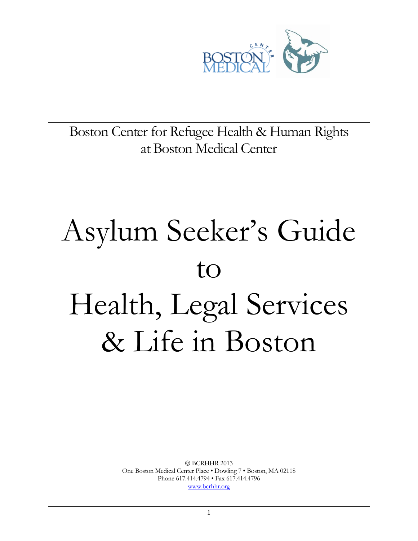

Boston Center for Refugee Health & Human Rights at Boston Medical Center

# Asylum Seeker's Guide to Health, Legal Services & Life in Boston

BCRHHR 2013 One Boston Medical Center Place • Dowling 7 • Boston, MA 02118 Phone 617.414.4794 • Fax 617.414.4796 [www.bcrhhr.org](http://www.bcrhhr.org/)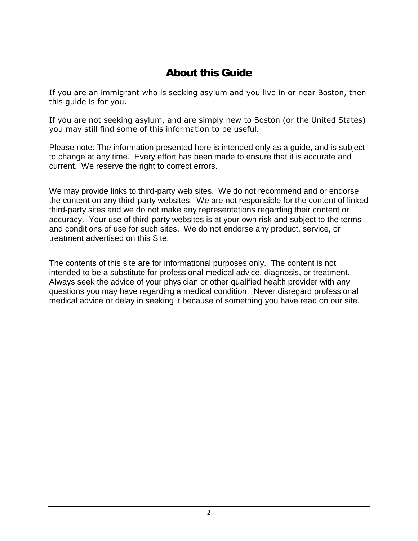# About this Guide

If you are an immigrant who is seeking asylum and you live in or near Boston, then this guide is for you.

If you are not seeking asylum, and are simply new to Boston (or the United States) you may still find some of this information to be useful.

Please note: The information presented here is intended only as a guide, and is subject to change at any time. Every effort has been made to ensure that it is accurate and current. We reserve the right to correct errors.

We may provide links to third-party web sites. We do not recommend and or endorse the content on any third-party websites. We are not responsible for the content of linked third-party sites and we do not make any representations regarding their content or accuracy. Your use of third-party websites is at your own risk and subject to the terms and conditions of use for such sites. We do not endorse any product, service, or treatment advertised on this Site.

The contents of this site are for informational purposes only. The content is not intended to be a substitute for professional medical advice, diagnosis, or treatment. Always seek the advice of your physician or other qualified health provider with any questions you may have regarding a medical condition. Never disregard professional medical advice or delay in seeking it because of something you have read on our site.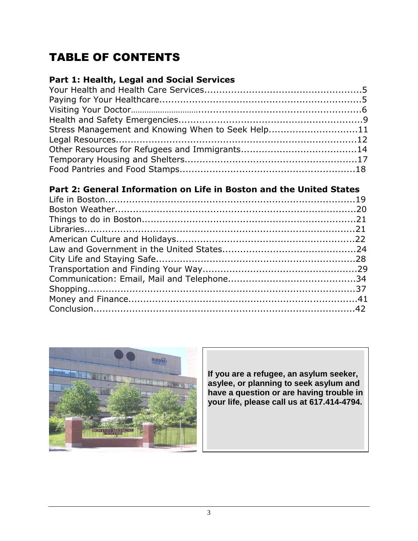# TABLE OF CONTENTS

# **Part 1: Health, Legal and Social Services**

| Stress Management and Knowing When to Seek Help11 |  |
|---------------------------------------------------|--|
|                                                   |  |
|                                                   |  |
|                                                   |  |
|                                                   |  |

# **Part 2: General Information on Life in Boston and the United States**



**If you are a refugee, an asylum seeker, asylee, or planning to seek asylum and have a question or are having trouble in your life, please call us at 617.414-4794.**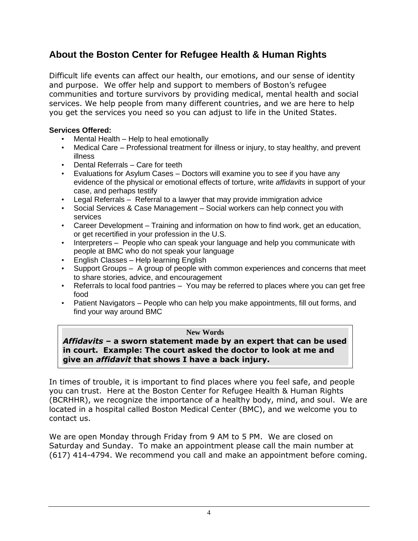# **About the Boston Center for Refugee Health & Human Rights**

Difficult life events can affect our health, our emotions, and our sense of identity and purpose. We offer help and support to members of Boston's refugee communities and torture survivors by providing medical, mental health and social services. We help people from many different countries, and we are here to help you get the services you need so you can adjust to life in the United States.

#### **Services Offered:**

- Mental Health Help to heal emotionally
- Medical Care Professional treatment for illness or injury, to stay healthy, and prevent illness
- Dental Referrals Care for teeth
- Evaluations for Asylum Cases Doctors will examine you to see if you have any evidence of the physical or emotional effects of torture, write *affidavits* in support of your case, and perhaps testify
- Legal Referrals Referral to a lawyer that may provide immigration advice
- Social Services & Case Management Social workers can help connect you with services
- Career Development Training and information on how to find work, get an education, or get recertified in your profession in the U.S.
- Interpreters People who can speak your language and help you communicate with people at BMC who do not speak your language
- English Classes Help learning English
- Support Groups A group of people with common experiences and concerns that meet to share stories, advice, and encouragement
- Referrals to local food pantries You may be referred to places where you can get free food
- Patient Navigators People who can help you make appointments, fill out forms, and find your way around BMC

#### **New Words**

*Affidavits* **– a sworn statement made by an expert that can be used in court. Example: The court asked the doctor to look at me and give an** *affidavit* **that shows I have a back injury.** 

In times of trouble, it is important to find places where you feel safe, and people you can trust. Here at the Boston Center for Refugee Health & Human Rights (BCRHHR), we recognize the importance of a healthy body, mind, and soul. We are located in a hospital called Boston Medical Center (BMC), and we welcome you to contact us.

We are open Monday through Friday from 9 AM to 5 PM. We are closed on Saturday and Sunday. To make an appointment please call the main number at (617) 414-4794. We recommend you call and make an appointment before coming.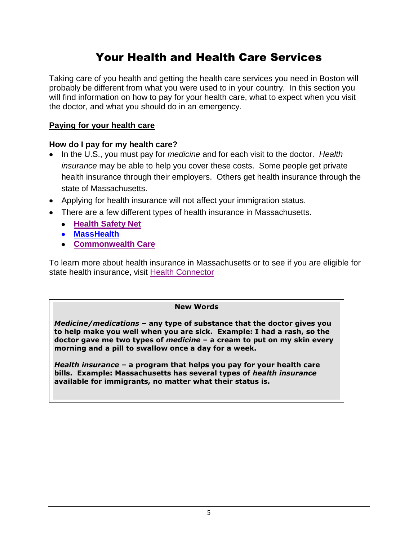# Your Health and Health Care Services

Taking care of you health and getting the health care services you need in Boston will probably be different from what you were used to in your country. In this section you will find information on how to pay for your health care, what to expect when you visit the doctor, and what you should do in an emergency.

#### **Paying for your health care**

#### **How do I pay for my health care?**

- In the U.S., you must pay for *medicine* and for each visit to the doctor. *Health insurance* may be able to help you cover these costs. Some people get private health insurance through their employers. Others get health insurance through the state of Massachusetts.
- Applying for health insurance will not affect your immigration status.
- There are a few different types of health insurance in Massachusetts.
	- **[Health Safety Net](http://www.massresources.org/pages.cfm?contentID=50&pageID=13&Subpages=yes)**
	- **[MassHealth](http://www.mass.gov/eohhs/consumer/insurance/masshealth-apply/)**
	- **[Commonwealth Care](https://www.mahealthconnector.org/portal/site/connector/template.PAGE/menuitem.55b6e23ac6627f40dbef6f47d7468a0c)**

To learn more about health insurance in Massachusetts or to see if you are eligible for state health insurance, visit [Health Connector](https://www.mahealthconnector.org/portal/site/connector/menuitem.a6bd9ea72595da2ea87b5f57c6398041/?fiShown=default)

#### **New Words**

*Medicine/medications* **– any type of substance that the doctor gives you to help make you well when you are sick. Example: I had a rash, so the doctor gave me two types of** *medicine* **– a cream to put on my skin every morning and a pill to swallow once a day for a week.**

*Health insurance* **– a program that helps you pay for your health care bills. Example: Massachusetts has several types of** *health insurance* **available for immigrants, no matter what their status is.**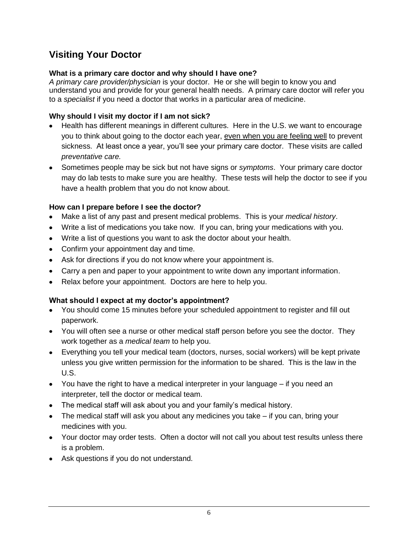# **Visiting Your Doctor**

#### **What is a primary care doctor and why should I have one?**

*A primary care provider/physician* is your doctor. He or she will begin to know you and understand you and provide for your general health needs. A primary care doctor will refer you to a *specialist* if you need a doctor that works in a particular area of medicine.

#### **Why should I visit my doctor if I am not sick?**

- Health has different meanings in different cultures. Here in the U.S. we want to encourage you to think about going to the doctor each year, even when you are feeling well to prevent sickness. At least once a year, you'll see your primary care doctor. These visits are called *preventative care.*
- Sometimes people may be sick but not have signs or *symptoms*. Your primary care doctor may do lab tests to make sure you are healthy. These tests will help the doctor to see if you have a health problem that you do not know about.

#### **How can I prepare before I see the doctor?**

- Make a list of any past and present medical problems. This is your *medical history*.
- Write a list of medications you take now. If you can, bring your medications with you.
- Write a list of questions you want to ask the doctor about your health.
- Confirm your appointment day and time.
- Ask for directions if you do not know where your appointment is.
- Carry a pen and paper to your appointment to write down any important information.
- Relax before your appointment. Doctors are here to help you.

#### **What should I expect at my doctor's appointment?**

- You should come 15 minutes before your scheduled appointment to register and fill out paperwork.
- You will often see a nurse or other medical staff person before you see the doctor. They work together as a *medical team* to help you.
- Everything you tell your medical team (doctors, nurses, social workers) will be kept private unless you give written permission for the information to be shared. This is the law in the U.S.
- You have the right to have a medical interpreter in your language if you need an interpreter, tell the doctor or medical team.
- The medical staff will ask about you and your family's medical history.
- The medical staff will ask you about any medicines you take if you can, bring your medicines with you.
- Your doctor may order tests. Often a doctor will not call you about test results unless there is a problem.
- Ask questions if you do not understand.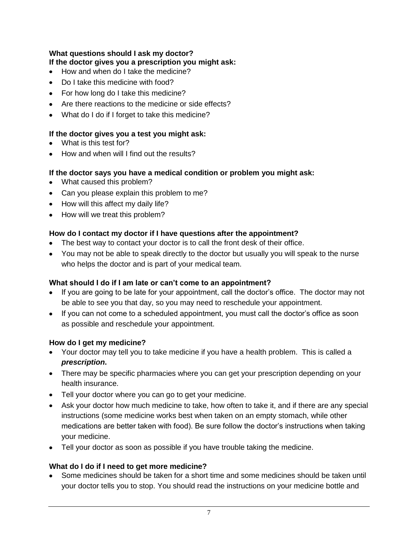#### **What questions should I ask my doctor?**

#### **If the doctor gives you a prescription you might ask:**

- How and when do I take the medicine?
- Do I take this medicine with food?
- For how long do I take this medicine?
- Are there reactions to the medicine or side effects?
- What do I do if I forget to take this medicine?

#### **If the doctor gives you a test you might ask:**

- What is this test for?
- How and when will I find out the results?

#### **If the doctor says you have a medical condition or problem you might ask:**

- What caused this problem?
- Can you please explain this problem to me?
- How will this affect my daily life?
- How will we treat this problem?

#### **How do I contact my doctor if I have questions after the appointment?**

- The best way to contact your doctor is to call the front desk of their office.
- You may not be able to speak directly to the doctor but usually you will speak to the nurse who helps the doctor and is part of your medical team.

#### **What should I do if I am late or can't come to an appointment?**

- If you are going to be late for your appointment, call the doctor's office. The doctor may not be able to see you that day, so you may need to reschedule your appointment.
- If you can not come to a scheduled appointment, you must call the doctor's office as soon as possible and reschedule your appointment.

#### **How do I get my medicine?**

- Your doctor may tell you to take medicine if you have a health problem. This is called a *prescription***.**
- There may be specific pharmacies where you can get your prescription depending on your health insurance.
- Tell your doctor where you can go to get your medicine.
- Ask your doctor how much medicine to take, how often to take it, and if there are any special instructions (some medicine works best when taken on an empty stomach, while other medications are better taken with food). Be sure follow the doctor's instructions when taking your medicine.
- Tell your doctor as soon as possible if you have trouble taking the medicine.

#### **What do I do if I need to get more medicine?**

Some medicines should be taken for a short time and some medicines should be taken until your doctor tells you to stop. You should read the instructions on your medicine bottle and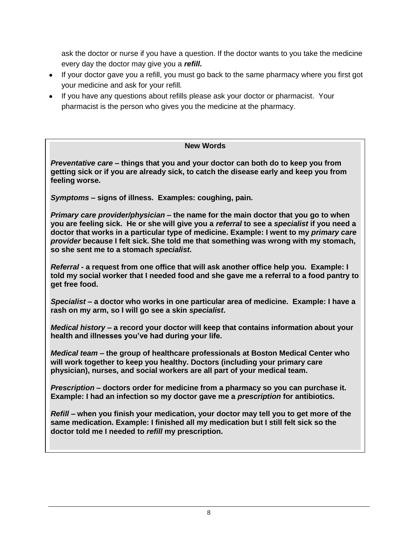ask the doctor or nurse if you have a question. If the doctor wants to you take the medicine every day the doctor may give you a *refill.*

- If your doctor gave you a refill, you must go back to the same pharmacy where you first got your medicine and ask for your refill*.*
- If you have any questions about refills please ask your doctor or pharmacist. Your pharmacist is the person who gives you the medicine at the pharmacy.

#### **New Words**

*Preventative care* **– things that you and your doctor can both do to keep you from getting sick or if you are already sick, to catch the disease early and keep you from feeling worse.**

*Symptoms* **– signs of illness. Examples: coughing, pain.**

*Primary care provider/physician* **– the name for the main doctor that you go to when you are feeling sick. He or she will give you a** *referral* **to see a** *specialist* **if you need a doctor that works in a particular type of medicine. Example: I went to my** *primary care provider* **because I felt sick. She told me that something was wrong with my stomach, so she sent me to a stomach** *specialist***.**

*Referral -* **a request from one office that will ask another office help you. Example: I told my social worker that I needed food and she gave me a referral to a food pantry to get free food.** 

*Specialist* **– a doctor who works in one particular area of medicine. Example: I have a rash on my arm, so I will go see a skin** *specialist***.** 

*Medical history* **– a record your doctor will keep that contains information about your health and illnesses you've had during your life.**

*Medical team* **– the group of healthcare professionals at Boston Medical Center who will work together to keep you healthy. Doctors (including your primary care physician), nurses, and social workers are all part of your medical team.**

*Prescription* **– doctors order for medicine from a pharmacy so you can purchase it.** **Example: I had an infection so my doctor gave me a** *prescription* **for antibiotics.**

*Refill* **– when you finish your medication, your doctor may tell you to get more of the same medication. Example: I finished all my medication but I still felt sick so the doctor told me I needed to** *refill* **my prescription.**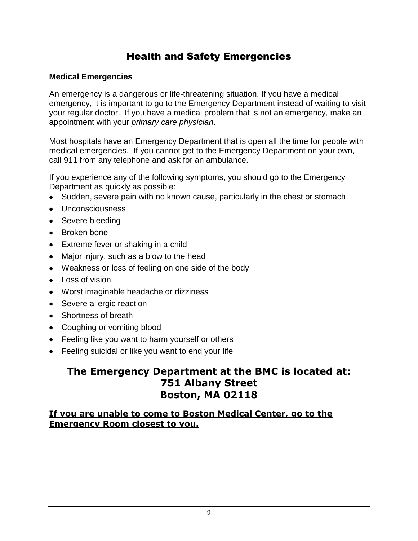# Health and Safety Emergencies

#### **Medical Emergencies**

An emergency is a dangerous or life-threatening situation. If you have a medical emergency, it is important to go to the Emergency Department instead of waiting to visit your regular doctor. If you have a medical problem that is not an emergency, make an appointment with your *primary care physician*.

Most hospitals have an Emergency Department that is open all the time for people with medical emergencies. If you cannot get to the Emergency Department on your own, call 911 from any telephone and ask for an ambulance.

If you experience any of the following symptoms, you should go to the Emergency Department as quickly as possible:

- Sudden, severe pain with no known cause, particularly in the chest or stomach
- Unconsciousness
- Severe bleeding
- Broken bone
- Extreme fever or shaking in a child
- Major injury, such as a blow to the head
- Weakness or loss of feeling on one side of the body
- Loss of vision
- Worst imaginable headache or dizziness
- Severe allergic reaction
- Shortness of breath
- Coughing or vomiting blood
- Feeling like you want to harm yourself or others
- Feeling suicidal or like you want to end your life

# **The Emergency Department at the BMC is located at: 751 Albany Street Boston, MA 02118**

#### **If you are unable to come to Boston Medical Center, go to the Emergency Room closest to you.**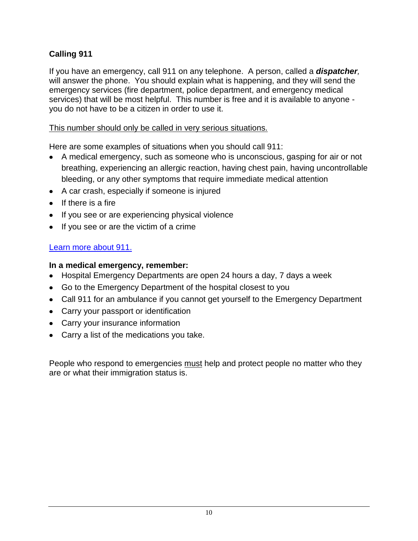# **Calling 911**

If you have an emergency, call 911 on any telephone. A person, called a *dispatcher,*  will answer the phone. You should explain what is happening, and they will send the emergency services (fire department, police department, and emergency medical services) that will be most helpful. This number is free and it is available to anyone you do not have to be a citizen in order to use it.

#### This number should only be called in very serious situations.

Here are some examples of situations when you should call 911:

- A medical emergency, such as someone who is unconscious, gasping for air or not breathing, experiencing an allergic reaction, having chest pain, having uncontrollable bleeding, or any other symptoms that require immediate medical attention
- A car crash, especially if someone is injured
- $\bullet$  If there is a fire
- If you see or are experiencing physical violence
- If you see or are the victim of a crime

## [Learn more](http://www.911.gov/whencall.html) about 911.

## **In a medical emergency, remember:**

- Hospital Emergency Departments are open 24 hours a day, 7 days a week
- Go to the Emergency Department of the hospital closest to you
- Call 911 for an ambulance if you cannot get yourself to the Emergency Department
- Carry your passport or identification
- Carry your insurance information
- Carry a list of the medications you take.

People who respond to emergencies must help and protect people no matter who they are or what their immigration status is.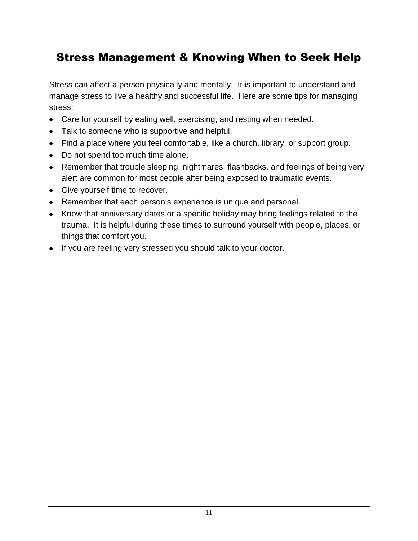# Stress Management & Knowing When to Seek Help

Stress can affect a person physically and mentally. It is important to understand and manage stress to live a healthy and successful life. Here are some tips for managing stress:

- Care for yourself by eating well, exercising, and resting when needed.
- Talk to someone who is supportive and helpful.
- Find a place where you feel comfortable, like a church, library, or support group.
- Do not spend too much time alone.
- Remember that trouble sleeping, nightmares, flashbacks, and feelings of being very alert are common for most people after being exposed to traumatic events.
- Give yourself time to recover.
- Remember that each person's experience is unique and personal.
- Know that anniversary dates or a specific holiday may bring feelings related to the trauma. It is helpful during these times to surround yourself with people, places, or things that comfort you.
- If you are feeling very stressed you should talk to your doctor.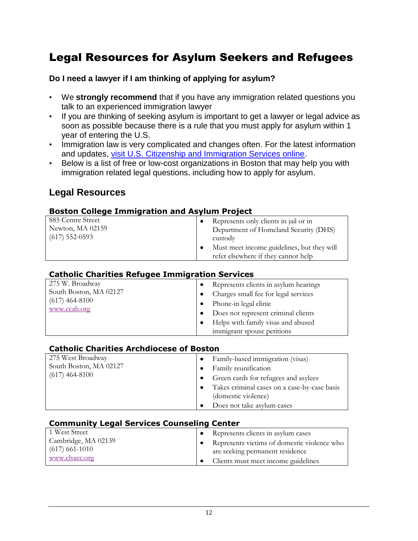# Legal Resources for Asylum Seekers and Refugees

#### **Do I need a lawyer if I am thinking of applying for asylum?**

- We **strongly recommend** that if you have any immigration related questions you talk to an experienced immigration lawyer
- If you are thinking of seeking asylum is important to get a lawyer or legal advice as soon as possible because there is a rule that you must apply for asylum within 1 year of entering the U.S.
- Immigration law is very complicated and changes often. For the latest information and updates, [visit U.S. Citizenship and Immigration Services online.](http://www.uscis.gov/portal/site/uscis)
- Below is a list of free or low-cost organizations in Boston that may help you with immigration related legal questions, including how to apply for asylum.

# **Legal Resources**

#### **Boston College Immigration and Asylum Project**

| 885 Centre Street | Represents only clients in jail or in      |
|-------------------|--------------------------------------------|
| Newton, MA 02159  | Department of Homeland Security (DHS)      |
| $(617)$ 552-0593  | custody                                    |
|                   | Must meet income guidelines, but they will |
|                   | refer elsewhere if they cannot help        |

#### **Catholic Charities Refugee Immigration Services**

| 275 W. Broadway        | Represents clients in asylum hearings |
|------------------------|---------------------------------------|
| South Boston, MA 02127 | Charges small fee for legal services  |
| $(617)$ 464-8100       | Phone-in legal clinic                 |
| www.ccab.org           | Does not represent criminal clients   |
|                        | Helps with family visas and abused    |
|                        | immigrant spouse petitions            |

#### **Catholic Charities Archdiocese of Boston**

| 275 West Broadway      | Family-based immigration (visas)                                                                  |
|------------------------|---------------------------------------------------------------------------------------------------|
| South Boston, MA 02127 | Family reunification                                                                              |
| $(617)$ 464-8100       | Green cards for refugees and asylees                                                              |
|                        | Takes criminal cases on a case-by-case basis<br>(domestic violence)<br>Does not take asylum cases |

#### **Community Legal Services Counseling Center**

| 1 West Street       | Represents clients in asylum cases          |
|---------------------|---------------------------------------------|
| Cambridge, MA 02139 | Represents victims of domestic violence who |
| $(617)$ 661-1010    | are seeking permanent residence             |
| www.clsacc.org      | Clients must meet income guidelines         |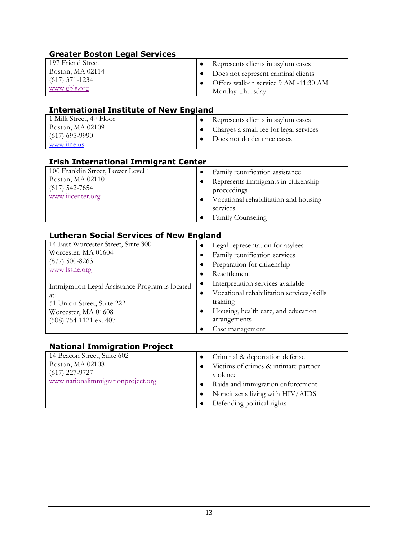| <b>Greater Boston Legal Services</b>                                                                                                                |                                                                                                                                                                                                          |
|-----------------------------------------------------------------------------------------------------------------------------------------------------|----------------------------------------------------------------------------------------------------------------------------------------------------------------------------------------------------------|
| 197 Friend Street<br>Boston, MA 02114<br>$(617)$ 371-1234<br>www.gbls.org                                                                           | Represents clients in asylum cases<br>٠<br>Does not represent criminal clients<br>٠<br>Offers walk-in service 9 AM -11:30 AM<br>٠<br>Monday-Thursday                                                     |
| <b>International Institute of New England</b>                                                                                                       |                                                                                                                                                                                                          |
| 1 Milk Street, 4th Floor<br>Boston, MA 02109<br>$(617)$ 695-9990<br>www.iine.us                                                                     | Represents clients in asylum cases<br>٠<br>Charges a small fee for legal services<br>٠<br>Does not do detainee cases                                                                                     |
| <b>Irish International Immigrant Center</b>                                                                                                         |                                                                                                                                                                                                          |
| 100 Franklin Street, Lower Level 1<br>Boston, MA 02110<br>$(617)$ 542-7654<br>www.iiicenter.org                                                     | Family reunification assistance<br>$\bullet$<br>Represents immigrants in citizenship<br>٠<br>proceedings<br>Vocational rehabilitation and housing<br>٠<br>services<br>Family Counseling                  |
| <b>Lutheran Social Services of New England</b><br>14 East Worcester Street, Suite 300<br>Worcester, MA 01604<br>$(877) 500 - 8263$<br>www.lssne.org | Legal representation for asylees<br>٠<br>Family reunification services<br>٠<br>Preparation for citizenship<br>٠<br>Resettlement<br>$\bullet$                                                             |
| Immigration Legal Assistance Program is located<br>at:<br>51 Union Street, Suite 222<br>Worcester, MA 01608<br>(508) 754-1121 ex. 407               | Interpretation services available<br>٠<br>Vocational rehabilitation services/skills<br>٠<br>training<br>Housing, health care, and education<br>٠<br>arrangements<br>Case management                      |
| <b>National Immigration Project</b>                                                                                                                 |                                                                                                                                                                                                          |
| 14 Beacon Street, Suite 602<br>Boston, MA 02108<br>$(617)$ 227-9727<br>www.nationalimmigrationproject.org                                           | Criminal & deportation defense<br>Victims of crimes & intimate partner<br>violence<br>Raids and immigration enforcement<br>٠<br>Noncitizens living with HIV/AIDS<br>٠<br>Defending political rights<br>٠ |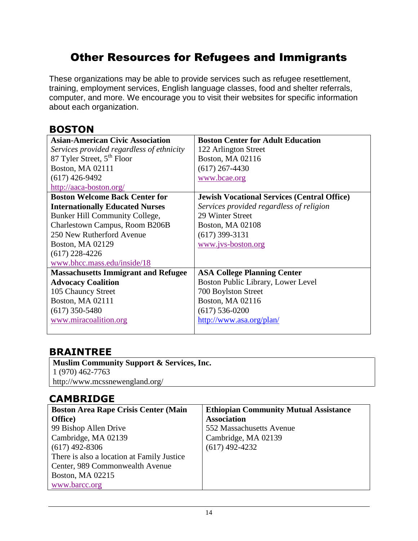# Other Resources for Refugees and Immigrants

These organizations may be able to provide services such as refugee resettlement, training, employment services, English language classes, food and shelter referrals, computer, and more. We encourage you to visit their websites for specific information about each organization.

# **BOSTON**

| <b>Asian-American Civic Association</b>    | <b>Boston Center for Adult Education</b>           |
|--------------------------------------------|----------------------------------------------------|
| Services provided regardless of ethnicity  | 122 Arlington Street                               |
| 87 Tyler Street, 5 <sup>th</sup> Floor     | Boston, MA 02116                                   |
| Boston, MA 02111                           | $(617)$ 267-4430                                   |
| $(617)$ 426-9492                           | www.bcae.org                                       |
| http://aaca-boston.org/                    |                                                    |
| <b>Boston Welcome Back Center for</b>      | <b>Jewish Vocational Services (Central Office)</b> |
| <b>Internationally Educated Nurses</b>     | Services provided regardless of religion           |
| <b>Bunker Hill Community College,</b>      | 29 Winter Street                                   |
| Charlestown Campus, Room B206B             | Boston, MA 02108                                   |
| 250 New Rutherford Avenue                  | $(617)$ 399-3131                                   |
| <b>Boston, MA 02129</b>                    | www.jvs-boston.org                                 |
| $(617)$ 228-4226                           |                                                    |
| www.bhcc.mass.edu/inside/18                |                                                    |
| <b>Massachusetts Immigrant and Refugee</b> | <b>ASA College Planning Center</b>                 |
| <b>Advocacy Coalition</b>                  | Boston Public Library, Lower Level                 |
| 105 Chauncy Street                         | 700 Boylston Street                                |
| <b>Boston, MA 02111</b>                    | Boston, MA 02116                                   |
| $(617)$ 350-5480                           | $(617)$ 536-0200                                   |
| www.miracoalition.org                      | http://www.asa.org/plan/                           |
|                                            |                                                    |

# **BRAINTREE**

**Muslim Community Support & Services, Inc.** 1 (970) 462-7763 http://www.mcssnewengland.org/

# **CAMBRIDGE**

| <b>Boston Area Rape Crisis Center (Main</b> | <b>Ethiopian Community Mutual Assistance</b> |
|---------------------------------------------|----------------------------------------------|
| Office)                                     | <b>Association</b>                           |
| 99 Bishop Allen Drive                       | 552 Massachusetts Avenue                     |
| Cambridge, MA 02139                         | Cambridge, MA 02139                          |
| $(617)$ 492-8306                            | $(617)$ 492-4232                             |
| There is also a location at Family Justice  |                                              |
| Center, 989 Commonwealth Avenue             |                                              |
| Boston, MA 02215                            |                                              |
| www.barcc.org                               |                                              |
|                                             |                                              |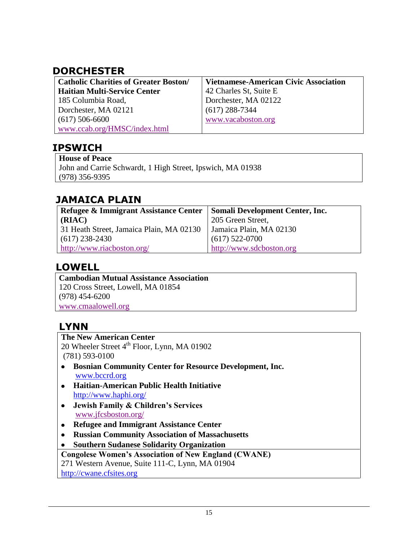# **DORCHESTER**

| <b>Catholic Charities of Greater Boston/</b> | <b>Vietnamese-American Civic Association</b> |
|----------------------------------------------|----------------------------------------------|
| <b>Haitian Multi-Service Center</b>          | 42 Charles St, Suite E                       |
| 185 Columbia Road,                           | Dorchester, MA 02122                         |
| Dorchester, MA 02121                         | $(617)$ 288-7344                             |
| $(617)$ 506-6600                             | www.vacaboston.org                           |
| www.ccab.org/HMSC/index.html                 |                                              |

# **IPSWICH**

**House of Peace** John and Carrie Schwardt, 1 High Street, Ipswich, MA 01938 (978) 356-9395

# **JAMAICA PLAIN**

| Refugee & Immigrant Assistance Center    | Somali Development Center, Inc. |
|------------------------------------------|---------------------------------|
| (RIAC)                                   | 205 Green Street,               |
| 31 Heath Street, Jamaica Plain, MA 02130 | Jamaica Plain, MA 02130         |
| $(617)$ 238-2430                         | $(617)$ 522-0700                |
| http://www.riacboston.org/               | http://www.sdcboston.org        |

# **LOWELL**

**Cambodian Mutual Assistance Association** 120 Cross Street, Lowell, MA 01854 (978) 454-6200 [www.cmaalowell.org](http://www.cmaalowell.org/)

# **LYNN**

**The New American Center** 20 Wheeler Street 4<sup>th</sup> Floor, Lynn, MA 01902 (781) 593-0100

- **Bosnian Community Center for Resource Development, Inc.** [www.bccrd.org](http://www.bccrd.org/)
- **Haitian-American Public Health Initiative** <http://www.haphi.org/>
- **Jewish Family & Children's Services** [www.jfcsboston.org/](http://www.jfcsboston.org/)
- **Refugee and Immigrant Assistance Center**
- **Russian Community Association of Massachusetts**
- **Southern Sudanese Solidarity Organization**

**Congolese Women's Association of New England (CWANE)**

271 Western Avenue, Suite 111-C, Lynn, MA 01904

[http://cwane.cfsites.org](http://cwane.cfsites.org/)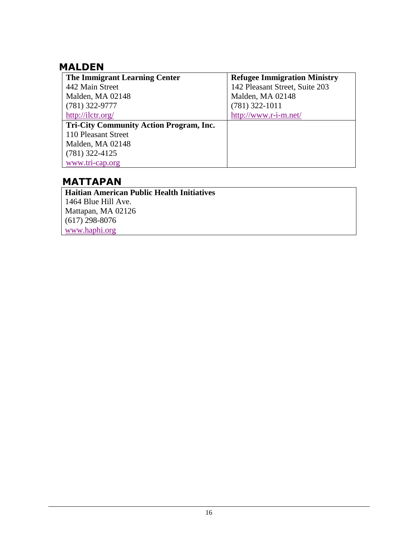# **MALDEN**

| The Immigrant Learning Center                  | <b>Refugee Immigration Ministry</b> |
|------------------------------------------------|-------------------------------------|
| 442 Main Street                                | 142 Pleasant Street, Suite 203      |
| Malden, MA 02148                               | Malden, MA 02148                    |
| $(781)$ 322-9777                               | $(781)$ 322-1011                    |
| http://ilctr.org/                              | http://www.r-i-m.net/               |
| <b>Tri-City Community Action Program, Inc.</b> |                                     |
| 110 Pleasant Street                            |                                     |
| Malden, MA 02148                               |                                     |
| $(781)$ 322-4125                               |                                     |
| www.tri-cap.org                                |                                     |

# **MATTAPAN**

**Haitian American Public Health Initiatives** 1464 Blue Hill Ave. Mattapan, MA 02126 (617) 298-8076 [www.haphi.org](http://www.haphi.org/)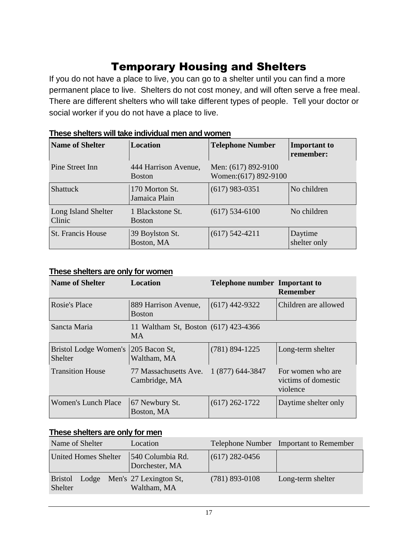# Temporary Housing and Shelters

If you do not have a place to live, you can go to a shelter until you can find a more permanent place to live. Shelters do not cost money, and will often serve a free meal. There are different shelters who will take different types of people. Tell your doctor or social worker if you do not have a place to live.

| <b>Name of Shelter</b>        | <b>Location</b>                       | <b>Telephone Number</b>                      | <b>Important to</b><br>remember: |
|-------------------------------|---------------------------------------|----------------------------------------------|----------------------------------|
| Pine Street Inn               | 444 Harrison Avenue,<br><b>Boston</b> | Men: (617) 892-9100<br>Women: (617) 892-9100 |                                  |
| <b>Shattuck</b>               | 170 Morton St.<br>Jamaica Plain       | $(617)$ 983-0351                             | No children                      |
| Long Island Shelter<br>Clinic | 1 Blackstone St.<br><b>Boston</b>     | $(617)$ 534-6100                             | No children                      |
| St. Francis House             | 39 Boylston St.<br>Boston, MA         | $(617)$ 542-4211                             | Daytime<br>shelter only          |

#### **These shelters will take individual men and women**

#### **These shelters are only for women**

| <b>Name of Shelter</b>                  | Location                                          | <b>Telephone number Important to</b> | <b>Remember</b>                                      |
|-----------------------------------------|---------------------------------------------------|--------------------------------------|------------------------------------------------------|
| <b>Rosie's Place</b>                    | 889 Harrison Avenue,<br><b>Boston</b>             | $(617)$ 442-9322                     | Children are allowed                                 |
| Sancta Maria                            | 11 Waltham St, Boston (617) 423-4366<br><b>MA</b> |                                      |                                                      |
| Bristol Lodge Women's<br><b>Shelter</b> | 205 Bacon St,<br>Waltham, MA                      | $(781) 894 - 1225$                   | Long-term shelter                                    |
| <b>Transition House</b>                 | 77 Massachusetts Ave.<br>Cambridge, MA            | 1 (877) 644-3847                     | For women who are<br>victims of domestic<br>violence |
| Women's Lunch Place                     | 67 Newbury St.<br>Boston, MA                      | $(617)$ 262-1722                     | Daytime shelter only                                 |

#### **These shelters are only for men**

| Name of Shelter             | Location                                    |                  | Telephone Number Important to Remember |
|-----------------------------|---------------------------------------------|------------------|----------------------------------------|
| <b>United Homes Shelter</b> | 540 Columbia Rd.<br>Dorchester, MA          | $(617)$ 282-0456 |                                        |
| <b>Bristol</b><br>Shelter   | Lodge Men's 27 Lexington St,<br>Waltham, MA | $(781)$ 893-0108 | Long-term shelter                      |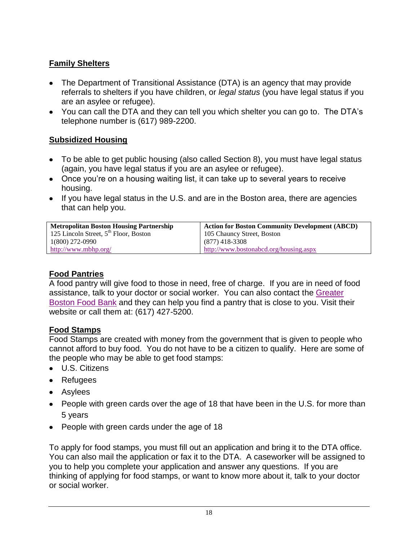## **Family Shelters**

- The Department of Transitional Assistance (DTA) is an agency that may provide referrals to shelters if you have children, or *legal status* (you have legal status if you are an asylee or refugee).
- You can call the DTA and they can tell you which shelter you can go to. The DTA's telephone number is (617) 989-2200.

## **Subsidized Housing**

- To be able to get public housing (also called Section 8), you must have legal status (again, you have legal status if you are an asylee or refugee).
- Once you're on a housing waiting list, it can take up to several years to receive housing.
- If you have legal status in the U.S. and are in the Boston area, there are agencies that can help you.

| <b>Metropolitan Boston Housing Partnership</b> | <b>Action for Boston Community Development (ABCD)</b> |
|------------------------------------------------|-------------------------------------------------------|
| 125 Lincoln Street, $5th$ Floor, Boston        | 105 Chauncy Street, Boston                            |
| 1(800) 272-0990                                | (877) 418-3308                                        |
| http://www.mbhp.org/                           | http://www.bostonabcd.org/housing.aspx                |

## **Food Pantries**

A food pantry will give food to those in need, free of charge. If you are in need of food assistance, talk to your doctor or social worker. You can also contact the [Greater](http://www.gbfb.org/GetHelp/index.cfm)  [Boston Food Bank](http://www.gbfb.org/GetHelp/index.cfm) and they can help you find a pantry that is close to you. Visit their website or call them at: (617) 427-5200.

## **Food Stamps**

Food Stamps are created with money from the government that is given to people who cannot afford to buy food. You do not have to be a citizen to qualify. Here are some of the people who may be able to get food stamps:

- U.S. Citizens
- Refugees
- Asylees
- People with green cards over the age of 18 that have been in the U.S. for more than 5 years
- People with green cards under the age of 18

To apply for food stamps, you must fill out an application and bring it to the DTA office. You can also mail the application or fax it to the DTA. A caseworker will be assigned to you to help you complete your application and answer any questions. If you are thinking of applying for food stamps, or want to know more about it, talk to your doctor or social worker.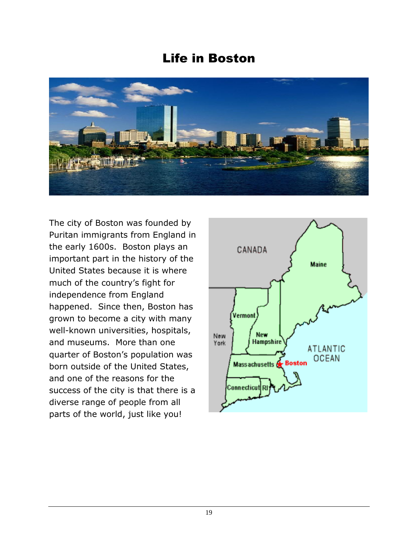# Life in Boston



The city of Boston was founded by Puritan immigrants from England in the early 1600s. Boston plays an important part in the history of the United States because it is where much of the country's fight for independence from England happened. Since then, Boston has grown to become a city with many well-known universities, hospitals, and museums. More than one quarter of Boston's population was born outside of the United States, and one of the reasons for the success of the city is that there is a diverse range of people from all parts of the world, just like you!

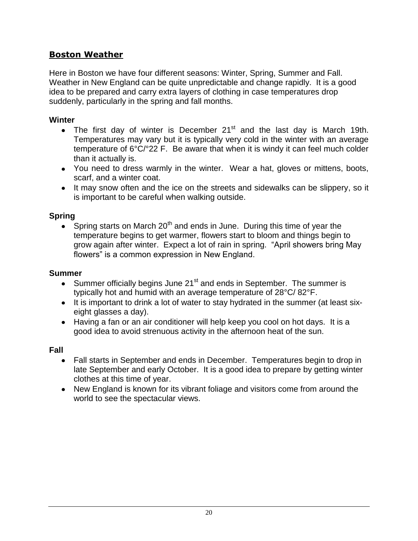## **Boston Weather**

Here in Boston we have four different seasons: Winter, Spring, Summer and Fall. Weather in New England can be quite unpredictable and change rapidly. It is a good idea to be prepared and carry extra layers of clothing in case temperatures drop suddenly, particularly in the spring and fall months.

#### **Winter**

- The first day of winter is December  $21<sup>st</sup>$  and the last day is March 19th. Temperatures may vary but it is typically very cold in the winter with an average temperature of 6°C/°22 F.Be aware that when it is windy it can feel much colder than it actually is.
- You need to dress warmly in the winter. Wear a hat, gloves or mittens, boots, scarf, and a winter coat.
- It may snow often and the ice on the streets and sidewalks can be slippery, so it is important to be careful when walking outside.

## **Spring**

 $\bullet$  Spring starts on March 20<sup>th</sup> and ends in June. During this time of year the temperature begins to get warmer, flowers start to bloom and things begin to grow again after winter. Expect a lot of rain in spring. "April showers bring May flowers" is a common expression in New England.

#### **Summer**

- Summer officially begins June  $21<sup>st</sup>$  and ends in September. The summer is typically hot and humid with an average temperature of 28°C/ 82°F.
- It is important to drink a lot of water to stay hydrated in the summer (at least sixeight glasses a day).
- Having a fan or an air conditioner will help keep you cool on hot days. It is a good idea to avoid strenuous activity in the afternoon heat of the sun.

#### **Fall**

- Fall starts in September and ends in December. Temperatures begin to drop in late September and early October. It is a good idea to prepare by getting winter clothes at this time of year.
- New England is known for its vibrant foliage and visitors come from around the world to see the spectacular views.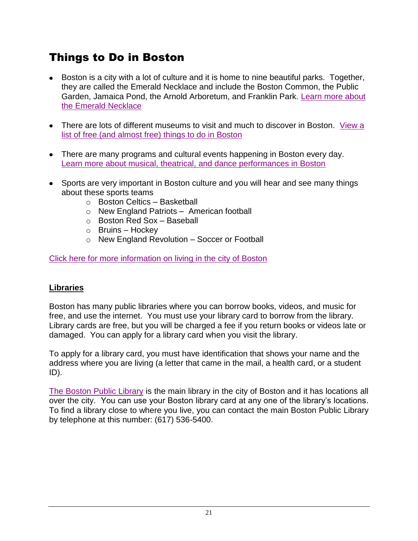# Things to Do in Boston

- Boston is a city with a lot of culture and it is home to nine beautiful parks. Together, they are called the Emerald Necklace and include the Boston Common, the Public Garden, Jamaica Pond, the Arnold Arboretum, and Franklin Park. [Learn more about](http://www.cityofboston.gov/Parks/emerald/)  [the Emerald Necklace](http://www.cityofboston.gov/Parks/emerald/)
- There are lots of different museums to visit and much to discover in Boston. [View a](http://www.cityofboston.gov/visitors/free.asp)  [list of free \(and almost free\) things to do in Boston](http://www.cityofboston.gov/visitors/free.asp)
- There are many programs and cultural events happening in Boston every day. [Learn more about musical, theatrical, and dance performances in Boston](http://www.artsboston.org/)
- Sports are very important in Boston culture and you will hear and see many things about these sports teams
	- o Boston Celtics Basketball
	- o New England Patriots American football
	- o Boston Red Sox Baseball
	- $\circ$  Bruins Hockey
	- o New England Revolution Soccer or Football

[Click here for more information on living in the city of Boston](http://www.cityofboston.gov/residents/CultureAndRecreation.asp)

## **Libraries**

Boston has many public libraries where you can borrow books, videos, and music for free, and use the internet. You must use your library card to borrow from the library. Library cards are free, but you will be charged a fee if you return books or videos late or damaged. You can apply for a library card when you visit the library.

To apply for a library card, you must have identification that shows your name and the address where you are living (a letter that came in the mail, a health card, or a student ID).

[The Boston Public Library](http://www.bpl.org/central/index.htm) is the main library in the city of Boston and it has locations all over the city. You can use your Boston library card at any one of the library's locations. To find a library close to where you live, you can contact the main Boston Public Library by telephone at this number: (617) 536-5400.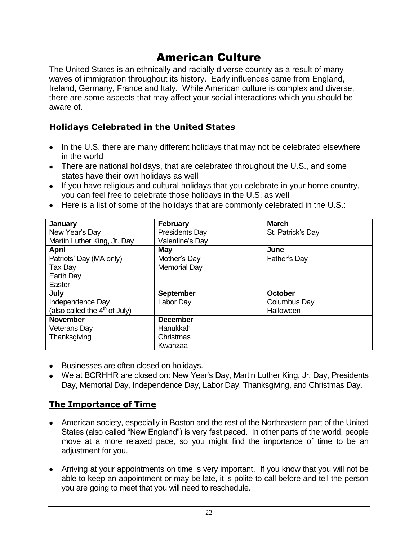# American Culture

The United States is an ethnically and racially diverse country as a result of many waves of immigration throughout its history. Early influences came from England, Ireland, Germany, France and Italy. While American culture is complex and diverse, there are some aspects that may affect your social interactions which you should be aware of.

# **Holidays Celebrated in the United States**

- In the U.S. there are many different holidays that may not be celebrated elsewhere in the world
- There are national holidays, that are celebrated throughout the U.S., and some states have their own holidays as well
- If you have religious and cultural holidays that you celebrate in your home country, you can feel free to celebrate those holidays in the U.S. as well
- Here is a list of some of the holidays that are commonly celebrated in the U.S.:

| January                         | <b>February</b>       | <b>March</b>      |
|---------------------------------|-----------------------|-------------------|
| New Year's Day                  | <b>Presidents Day</b> | St. Patrick's Day |
| Martin Luther King, Jr. Day     | Valentine's Day       |                   |
| <b>April</b>                    | May                   | June              |
| Patriots' Day (MA only)         | Mother's Day          | Father's Day      |
| Tax Day                         | <b>Memorial Day</b>   |                   |
| Earth Day                       |                       |                   |
| Easter                          |                       |                   |
| July                            | <b>September</b>      | October           |
| Independence Day                | Labor Day             | Columbus Day      |
| (also called the $4th$ of July) |                       | Halloween         |
| <b>November</b>                 | <b>December</b>       |                   |
| <b>Veterans Day</b>             | Hanukkah              |                   |
| Thanksgiving                    | Christmas             |                   |
|                                 | Kwanzaa               |                   |

- Businesses are often closed on holidays.
- We at BCRHHR are closed on: New Year's Day, Martin Luther King, Jr. Day, Presidents Day, Memorial Day, Independence Day, Labor Day, Thanksgiving, and Christmas Day.

## **The Importance of Time**

- American society, especially in Boston and the rest of the Northeastern part of the United States (also called "New England") is very fast paced. In other parts of the world, people move at a more relaxed pace, so you might find the importance of time to be an adjustment for you.
- Arriving at your appointments on time is very important. If you know that you will not be able to keep an appointment or may be late, it is polite to call before and tell the person you are going to meet that you will need to reschedule.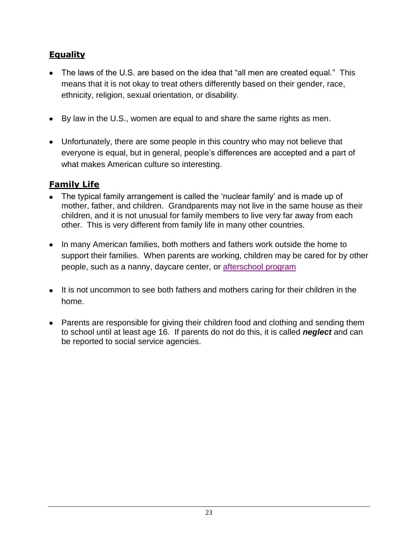# **Equality**

- The laws of the U.S. are based on the idea that "all men are created equal." This means that it is not okay to treat others differently based on their gender, race, ethnicity, religion, sexual orientation, or disability.
- By law in the U.S., women are equal to and share the same rights as men.
- Unfortunately, there are some people in this country who may not believe that everyone is equal, but in general, people's differences are accepted and a part of what makes American culture so interesting.

# **Family Life**

- The typical family arrangement is called the 'nuclear family' and is made up of mother, father, and children. Grandparents may not live in the same house as their children, and it is not unusual for family members to live very far away from each other. This is very different from family life in many other countries.
- In many American families, both mothers and fathers work outside the home to support their families. When parents are working, children may be cared for by other people, such as a nanny, daycare center, or [afterschool program](http://www.bostonyouthzone.com/afterschool/citywide/)
- It is not uncommon to see both fathers and mothers caring for their children in the home.
- Parents are responsible for giving their children food and clothing and sending them to school until at least age 16. If parents do not do this, it is called *neglect* and can be reported to social service agencies.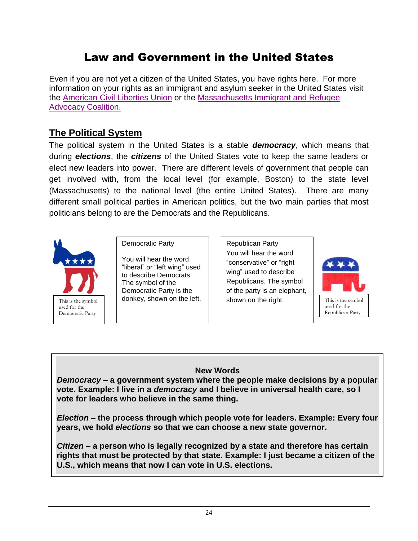# Law and Government in the United States

Even if you are not yet a citizen of the United States, you have rights here. For more information on your rights as an immigrant and asylum seeker in the United States visit the [American Civil Liberties Union](http://www.aclu.org/immigrants-rights) or the [Massachusetts Immigrant and Refugee](http://miracoalition.org/)  [Advocacy Coalition.](http://miracoalition.org/) 

## **The Political System**

The political system in the United States is a stable *democracy*, which means that during *elections*, the *citizens* of the United States vote to keep the same leaders or elect new leaders into power. There are different levels of government that people can get involved with, from the local level (for example, Boston) to the state level (Massachusetts) to the national level (the entire United States). There are many different small political parties in American politics, but the two main parties that most politicians belong to are the Democrats and the Republicans.



Democratic Party

You will hear the word "liberal" or "left wing" used to describe Democrats. The symbol of the Democratic Party is the donkey, shown on the left.

Republican Party You will hear the word "conservative" or "right wing" used to describe Republicans. The symbol of the party is an elephant, shown on the right.



#### **New Words**

*Democracy* **– a government system where the people make decisions by a popular vote. Example: I live in a** *democracy* **and I believe in universal health care, so I vote for leaders who believe in the same thing.**

*Election* **– the process through which people vote for leaders. Example: Every four years, we hold** *elections* **so that we can choose a new state governor.**

*Citizen* **– a person who is legally recognized by a state and therefore has certain rights that must be protected by that state. Example: I just became a citizen of the U.S., which means that now I can vote in U.S. elections.**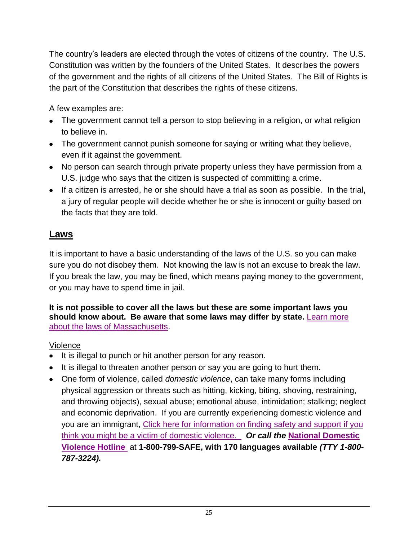The country's leaders are elected through the votes of citizens of the country. The U.S. Constitution was written by the founders of the United States. It describes the powers of the government and the rights of all citizens of the United States. The Bill of Rights is the part of the Constitution that describes the rights of these citizens.

A few examples are:

- The government cannot tell a person to stop believing in a religion, or what religion to believe in.
- The government cannot punish someone for saying or writing what they believe, even if it against the government.
- No person can search through private property unless they have permission from a U.S. judge who says that the citizen is suspected of committing a crime.
- $\bullet$  If a citizen is arrested, he or she should have a trial as soon as possible. In the trial, a jury of regular people will decide whether he or she is innocent or guilty based on the facts that they are told.

# **Laws**

It is important to have a basic understanding of the laws of the U.S. so you can make sure you do not disobey them. Not knowing the law is not an excuse to break the law. If you break the law, you may be fined, which means paying money to the government, or you may have to spend time in jail.

**It is not possible to cover all the laws but these are some important laws you should know about. Be aware that some laws may differ by state.** [Learn more](http://www.malegislature.gov/Laws/GeneralLaws/PartIV)  [about the laws of Massachusetts.](http://www.malegislature.gov/Laws/GeneralLaws/PartIV)

## Violence

- It is illegal to punch or hit another person for any reason.
- It is illegal to threaten another person or say you are going to hurt them.
- One form of violence, called *domestic violence*, can take many forms including physical aggression or threats such as hitting, kicking, biting, shoving, restraining, and throwing objects), sexual abuse; emotional abuse, intimidation; stalking; neglect and economic deprivation. If you are currently experiencing domestic violence and you are an immigrant, [Click here for information on finding safety and support if you](http://internal.bmc.org/domesticviolence/documents/BROCHURES/Finding%20SafetyENG%20color.pdf)  [think you might be a victim of domestic violence.](http://internal.bmc.org/domesticviolence/documents/BROCHURES/Finding%20SafetyENG%20color.pdf) *Or call the* **[National Domestic](http://www.ndvh.org/)  [Violence Hotline](http://www.ndvh.org/)** at **1-800-799-SAFE, with 170 languages available** *(TTY 1-800- 787-3224).*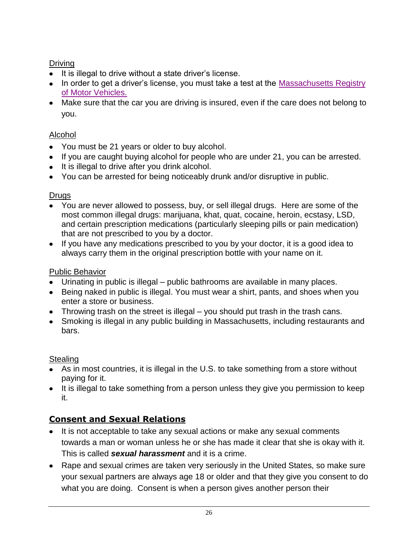## Driving

- It is illegal to drive without a state driver's license.
- In order to get a driver's license, you must take a test at the Massachusetts Registry [of Motor Vehicles.](http://www.massdot.state.ma.us/rmv/)
- Make sure that the car you are driving is insured, even if the care does not belong to you.

## Alcohol

- You must be 21 years or older to buy alcohol.
- If you are caught buying alcohol for people who are under 21, you can be arrested.
- It is illegal to drive after you drink alcohol.
- You can be arrested for being noticeably drunk and/or disruptive in public.

#### Drugs

- You are never allowed to possess, buy, or sell illegal drugs. Here are some of the most common illegal drugs: marijuana, khat, quat, cocaine, heroin, ecstasy, LSD, and certain prescription medications (particularly sleeping pills or pain medication) that are not prescribed to you by a doctor.
- If you have any medications prescribed to you by your doctor, it is a good idea to always carry them in the original prescription bottle with your name on it.

## Public Behavior

- Urinating in public is illegal public bathrooms are available in many places.
- Being naked in public is illegal. You must wear a shirt, pants, and shoes when you enter a store or business.
- Throwing trash on the street is illegal you should put trash in the trash cans.
- Smoking is illegal in any public building in Massachusetts, including restaurants and bars.

## **Stealing**

- As in most countries, it is illegal in the U.S. to take something from a store without paying for it.
- It is illegal to take something from a person unless they give you permission to keep it.

# **Consent and Sexual Relations**

- It is not acceptable to take any sexual actions or make any sexual comments towards a man or woman unless he or she has made it clear that she is okay with it. This is called *sexual harassment* and it is a crime.
- Rape and sexual crimes are taken very seriously in the United States, so make sure your sexual partners are always age 18 or older and that they give you consent to do what you are doing. Consent is when a person gives another person their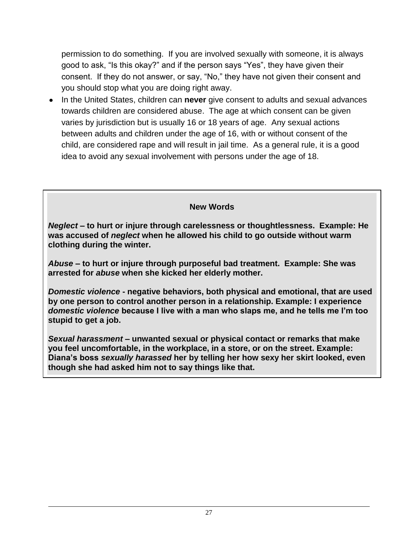permission to do something. If you are involved sexually with someone, it is always good to ask, "Is this okay?" and if the person says "Yes", they have given their consent. If they do not answer, or say, "No," they have not given their consent and you should stop what you are doing right away.

• In the United States, children can **never** give consent to adults and sexual advances towards children are considered abuse. The age at which consent can be given varies by jurisdiction but is usually 16 or 18 years of age. Any sexual actions between adults and children under the age of 16, with or without consent of the child, are considered rape and will result in jail time. As a general rule, it is a good idea to avoid any sexual involvement with persons under the age of 18.

**New Words**

*Neglect –* **to hurt or injure through carelessness or thoughtlessness. Example: He was accused of** *neglect* **when he allowed his child to go outside without warm clothing during the winter.** 

*Abuse* **– to hurt or injure through purposeful bad treatment. Example: She was arrested for** *abuse* **when she kicked her elderly mother.**

*Domestic violence* **- negative behaviors, both physical and emotional, that are used by one person to control another person in a relationship. Example: I experience**  *domestic violence* **because I live with a man who slaps me, and he tells me I'm too stupid to get a job.** 

*Sexual harassment* **– unwanted sexual or physical contact or remarks that make you feel uncomfortable, in the workplace, in a store, or on the street. Example: Diana's boss** *sexually harassed* **her by telling her how sexy her skirt looked, even though she had asked him not to say things like that.**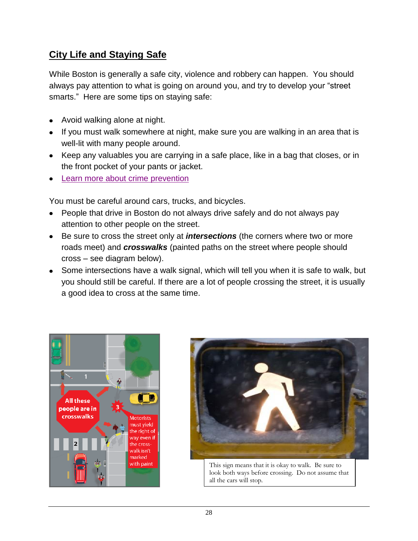# **City Life and Staying Safe**

While Boston is generally a safe city, violence and robbery can happen. You should always pay attention to what is going on around you, and try to develop your "street smarts." Here are some tips on staying safe:

- Avoid walking alone at night.
- If you must walk somewhere at night, make sure you are walking in an area that is well-lit with many people around.
- Keep any valuables you are carrying in a safe place, like in a bag that closes, or in the front pocket of your pants or jacket.
- [Learn more about crime prevention](http://www.ncpc.org/topics/violent-crime-and-personal-safety/protect-yourself-from-violent-crime)

You must be careful around cars, trucks, and bicycles.

- People that drive in Boston do not always drive safely and do not always pay attention to other people on the street.
- Be sure to cross the street only at *intersections* (the corners where two or more roads meet) and *crosswalks* (painted paths on the street where people should cross – see diagram below).
- Some intersections have a walk signal, which will tell you when it is safe to walk, but you should still be careful. If there are a lot of people crossing the street, it is usually a good idea to cross at the same time.





This sign means that it is okay to walk. Be sure to look both ways before crossing. Do not assume that all the cars will stop.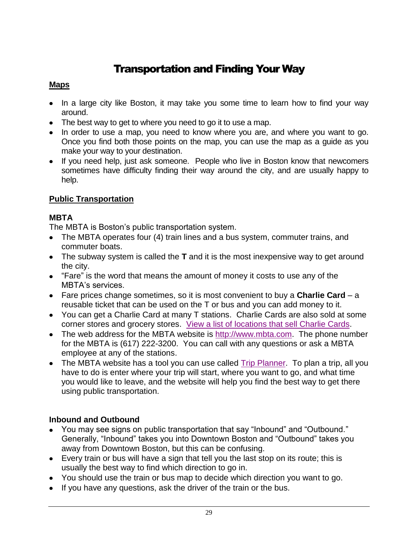# Transportation and Finding Your Way

#### **Maps**

- In a large city like Boston, it may take you some time to learn how to find your way around.
- The best way to get to where you need to go it to use a map.
- In order to use a map, you need to know where you are, and where you want to go. Once you find both those points on the map, you can use the map as a guide as you make your way to your destination.
- If you need help, just ask someone. People who live in Boston know that newcomers sometimes have difficulty finding their way around the city, and are usually happy to help.

## **Public Transportation**

## **MBTA**

The MBTA is Boston's public transportation system.

- The MBTA operates four (4) train lines and a bus system, commuter trains, and commuter boats.
- The subway system is called the **T** and it is the most inexpensive way to get around the city.
- "Fare" is the word that means the amount of money it costs to use any of the MBTA's services.
- Fare prices change sometimes, so it is most convenient to buy a **Charlie Card** a reusable ticket that can be used on the T or bus and you can add money to it.
- You can get a Charlie Card at many T stations. Charlie Cards are also sold at some corner stores and grocery stores. View a [list of locations that sell Charlie Cards.](http://www.mbta.com/fares_and_passes/sales_locations/)
- The web address for the MBTA website is [http://www.mbta.com.](http://www.mbta.com/) The phone number for the MBTA is (617) 222-3200. You can call with any questions or ask a MBTA employee at any of the stations.
- The MBTA website has a tool you can use called [Trip Planner.](http://www.mbta.com/rider_tools/trip_planner/) To plan a trip, all you have to do is enter where your trip will start, where you want to go, and what time you would like to leave, and the website will help you find the best way to get there using public transportation.

## **Inbound and Outbound**

- You may see signs on public transportation that say "Inbound" and "Outbound." Generally, "Inbound" takes you into Downtown Boston and "Outbound" takes you away from Downtown Boston, but this can be confusing.
- Every train or bus will have a sign that tell you the last stop on its route; this is usually the best way to find which direction to go in.
- You should use the train or bus map to decide which direction you want to go.
- If you have any questions, ask the driver of the train or the bus.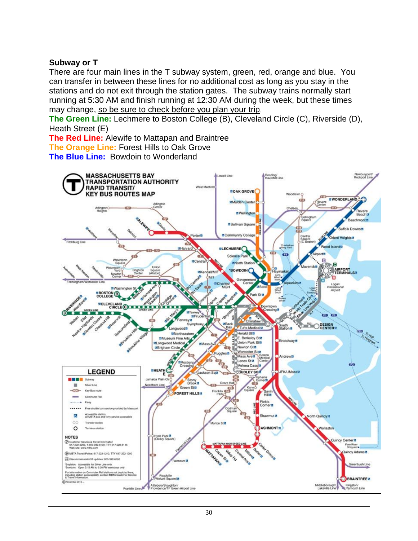#### **Subway or T**

There are four main lines in the T subway system, green, red, orange and blue. You can transfer in between these lines for no additional cost as long as you stay in the stations and do not exit through the station gates. The subway trains normally start running at 5:30 AM and finish running at 12:30 AM during the week, but these times may change, so be sure to check before you plan your trip.

**The Green Line:** Lechmere to Boston College (B), Cleveland Circle (C), Riverside (D), Heath Street (E)

**The Red Line:** Alewife to Mattapan and Braintree **The Orange Line:** Forest Hills to Oak Grove

**The Blue Line:** Bowdoin to Wonderland

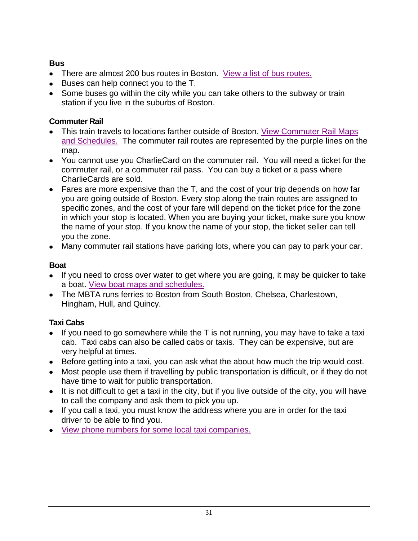## **Bus**

- There are almost 200 bus routes in Boston. [View a list of bus routes.](http://www.mbta.com/schedules_and_maps/bus/)
- Buses can help connect you to the T.
- Some buses go within the city while you can take others to the subway or train station if you live in the suburbs of Boston.

## **Commuter Rail**

- This train travels to locations farther outside of Boston. [View Commuter Rail Maps](http://www.mbta.com/schedules_and_maps/rail/)  [and Schedules.](http://www.mbta.com/schedules_and_maps/rail/) The commuter rail routes are represented by the purple lines on the map.
- You cannot use you CharlieCard on the commuter rail. You will need a ticket for the commuter rail, or a commuter rail pass. You can buy a ticket or a pass where CharlieCards are sold.
- Fares are more expensive than the T, and the cost of your trip depends on how far you are going outside of Boston. Every stop along the train routes are assigned to specific zones, and the cost of your fare will depend on the ticket price for the zone in which your stop is located. When you are buying your ticket, make sure you know the name of your stop. If you know the name of your stop, the ticket seller can tell you the zone.
- Many commuter rail stations have parking lots, where you can pay to park your car.

## **Boat**

- If you need to cross over water to get where you are going, it may be quicker to take a boat. [View boat maps and schedules.](http://www.mbta.com/schedules_and_maps/boats/)
- The MBTA runs ferries to Boston from South Boston, Chelsea, Charlestown, Hingham, Hull, and Quincy.

## **Taxi Cabs**

- $\bullet$  If you need to go somewhere while the T is not running, you may have to take a taxi cab. Taxi cabs can also be called cabs or taxis. They can be expensive, but are very helpful at times.
- Before getting into a taxi, you can ask what the about how much the trip would cost.
- Most people use them if travelling by public transportation is difficult, or if they do not have time to wait for public transportation.
- It is not difficult to get a taxi in the city, but if you live outside of the city, you will have to call the company and ask them to pick you up.
- If you call a taxi, you must know the address where you are in order for the taxi driver to be able to find you.
- View [phone numbers for some local taxi companies.](http://www.yellowpages.com/boston-ma/taxis)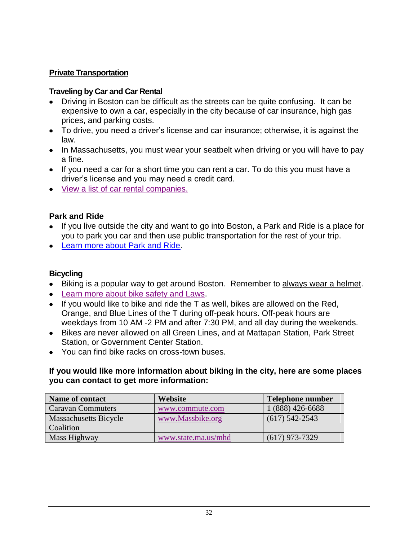#### **Private Transportation**

#### **Traveling by Car and Car Rental**

- Driving in Boston can be difficult as the streets can be quite confusing. It can be expensive to own a car, especially in the city because of car insurance, high gas prices, and parking costs.
- To drive, you need a driver's license and car insurance; otherwise, it is against the law.
- In Massachusetts, you must wear your seatbelt when driving or you will have to pay a fine.
- If you need a car for a short time you can rent a car. To do this you must have a driver's license and you may need a credit card.
- [View a list of car rental companies.](http://www.superpages.com/yellowpages/C-Car+Rental/S-MA/T-Boston/)

## **Park and Ride**

- If you live outside the city and want to go into Boston, a Park and Ride is a place for you to park you car and then use public transportation for the rest of your trip.
- [Learn more about Park and Ride.](http://www.massdot.state.ma.us/highway/TrafficTravelResources/ParkandRideMap.aspx)

## **Bicycling**

- Biking is a popular way to get around Boston. Remember to always wear a helmet.
- [Learn more about bike safety and Laws.](http://www.cityofboston.gov/bikes/bikesafety/)
- $\bullet$  If you would like to bike and ride the T as well, bikes are allowed on the Red, Orange, and Blue Lines of the T during off-peak hours. Off-peak hours are weekdays from 10 AM -2 PM and after 7:30 PM, and all day during the weekends.
- Bikes are never allowed on all Green Lines, and at Mattapan Station, Park Street Station, or Government Center Station.
- You can find bike racks on cross-town buses.

#### **If you would like more information about biking in the city, here are some places you can contact to get more information:**

| Name of contact          | Website             | Telephone number |
|--------------------------|---------------------|------------------|
| <b>Caravan Commuters</b> | www.commute.com     | 1 (888) 426-6688 |
| Massachusetts Bicycle    | www.Massbike.org    | $(617)$ 542-2543 |
| <b>Coalition</b>         |                     |                  |
| Mass Highway             | www.state.ma.us/mhd | $(617)$ 973-7329 |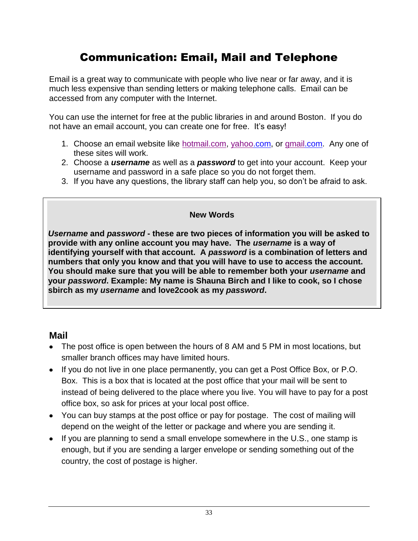# Communication: Email, Mail and Telephone

Email is a great way to communicate with people who live near or far away, and it is much less expensive than sending letters or making telephone calls. Email can be accessed from any computer with the Internet.

You can use the internet for free at the public libraries in and around Boston. If you do not have an email account, you can create one for free. It's easy!

- 1. Choose an email website like [hotmail.com,](http://www.hotmail.com/) [yahoo.](http://www.yahoo.com/)com, or [gmail.](http://www.gmail.com/)com. Any one of these sites will work.
- 2. Choose a *username* as well as a *password* to get into your account. Keep your username and password in a safe place so you do not forget them.
- 3. If you have any questions, the library staff can help you, so don't be afraid to ask.

#### **New Words**

*Username* **and** *password* **- these are two pieces of information you will be asked to provide with any online account you may have. The** *username* **is a way of identifying yourself with that account. A** *password* **is a combination of letters and numbers that only you know and that you will have to use to access the account. You should make sure that you will be able to remember both your** *username* **and your** *password***. Example: My name is Shauna Birch and I like to cook, so I chose sbirch as my** *username* **and love2cook as my** *password***.** 

## **Mail**

- The post office is open between the hours of 8 AM and 5 PM in most locations, but smaller branch offices may have limited hours.
- If you do not live in one place permanently, you can get a Post Office Box, or P.O. Box. This is a box that is located at the post office that your mail will be sent to instead of being delivered to the place where you live. You will have to pay for a post office box, so ask for prices at your local post office.
- You can buy stamps at the post office or pay for postage. The cost of mailing will depend on the weight of the letter or package and where you are sending it.
- If you are planning to send a small envelope somewhere in the U.S., one stamp is enough, but if you are sending a larger envelope or sending something out of the country, the cost of postage is higher.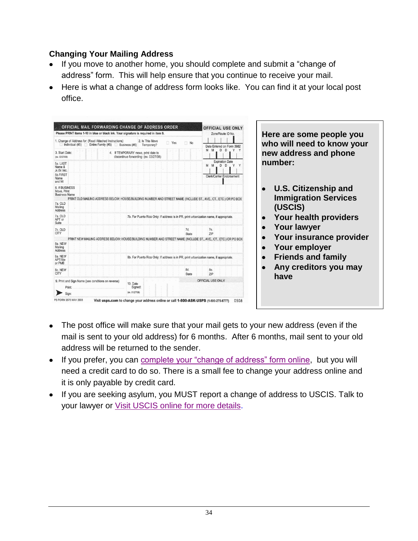## **Changing Your Mailing Address**

- If you move to another home, you should complete and submit a "change of address" form. This will help ensure that you continue to receive your mail.
- Here is what a change of address form looks like. You can find it at your local post office.



- The post office will make sure that your mail gets to your new address (even if the mail is sent to your old address) for 6 months. After 6 months, mail sent to your old address will be returned to the sender.
- If you prefer, you can [complete your "change of address" form online,](https://moversguide.usps.com/icoa/icoa-main-flow.do?execution=e1s1) but you will need a credit card to do so. There is a small fee to change your address online and it is only payable by credit card.
- If you are seeking asylum, you MUST report a change of address to USCIS. Talk to your lawyer or [Visit USCIS online for more details.](http://www.uscis.gov/portal/site/uscis/menuitem.eb1d4c2a3e5b9ac89243c6a7543f6d1a/?vgnextoid=f39d3e4d77d73210VgnVCM100000082ca60aRCRD&vgnextchannel=f39d3e4d77d73210VgnVCM100000082ca60aRCRD)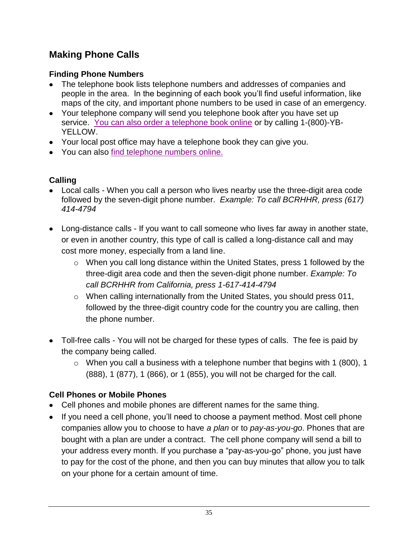# **Making Phone Calls**

# **Finding Phone Numbers**

- The telephone book lists telephone numbers and addresses of companies and people in the area. In the beginning of each book you'll find useful information, like maps of the city, and important phone numbers to be used in case of an emergency.
- Your telephone company will send you telephone book after you have set up service. [You can also order a telephone book online](http://www.yellowbook.com/yellowpages/?where=boston%2c+ma) or by calling 1-(800)-YB-YELLOW.
- Your local post office may have a telephone book they can give you.
- You can also [find telephone numbers online.](http://www.switchboard.com/)

# **Calling**

- Local calls When you call a person who lives nearby use the three-digit area code followed by the seven-digit phone number.*Example: To call BCRHHR, press (617) 414-4794*
- Long-distance calls If you want to call someone who lives far away in another state, or even in another country, this type of call is called a long-distance call and may cost more money, especially from a land line.
	- o When you call long distance within the United States, press 1 followed by the three-digit area code and then the seven-digit phone number. *Example: To call BCRHHR from California, press 1-617-414-4794*
	- o When calling internationally from the United States, you should press 011, followed by the three-digit country code for the country you are calling, then the phone number.
- Toll-free calls You will not be charged for these types of calls. The fee is paid by the company being called.
	- $\circ$  When you call a business with a telephone number that begins with 1 (800), 1 (888), 1 (877), 1 (866), or 1 (855), you will not be charged for the call.

## **Cell Phones or Mobile Phones**

- Cell phones and mobile phones are different names for the same thing.
- If you need a cell phone, you'll need to choose a payment method. Most cell phone companies allow you to choose to have *a plan* or to *pay-as-you-go*. Phones that are bought with a plan are under a contract. The cell phone company will send a bill to your address every month. If you purchase a "pay-as-you-go" phone, you just have to pay for the cost of the phone, and then you can buy minutes that allow you to talk on your phone for a certain amount of time.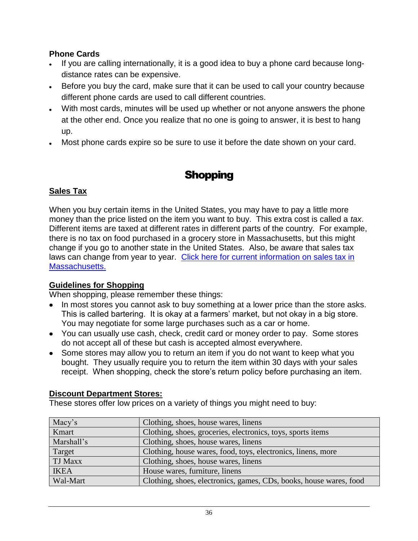#### **Phone Cards**

- If you are calling internationally, it is a good idea to buy a phone card because longdistance rates can be expensive.
- Before you buy the card, make sure that it can be used to call your country because different phone cards are used to call different countries.
- With most cards, minutes will be used up whether or not anyone answers the phone at the other end. Once you realize that no one is going to answer, it is best to hang up.
- Most phone cards expire so be sure to use it before the date shown on your card.

# **Shopping**

## **Sales Tax**

When you buy certain items in the United States, you may have to pay a little more money than the price listed on the item you want to buy. This extra cost is called a *tax*. Different items are taxed at different rates in different parts of the country. For example, there is no tax on food purchased in a grocery store in Massachusetts, but this might change if you go to another state in the United States. Also, be aware that sales tax laws can change from year to year. Click here for current information on sales tax in [Massachusetts.](http://www.mass.gov/dor/individuals/taxpayer-help-and-resources/tax-guides/salesuse-tax-guide.html)

#### **Guidelines for Shopping**

When shopping, please remember these things:

- In most stores you cannot ask to buy something at a lower price than the store asks. This is called bartering. It is okay at a farmers' market, but not okay in a big store. You may negotiate for some large purchases such as a car or home.
- You can usually use cash, check, credit card or money order to pay. Some stores do not accept all of these but cash is accepted almost everywhere.
- Some stores may allow you to return an item if you do not want to keep what you bought. They usually require you to return the item within 30 days with your sales receipt. When shopping, check the store's return policy before purchasing an item.

## **Discount Department Stores:**

These stores offer low prices on a variety of things you might need to buy:

| Macy's      | Clothing, shoes, house wares, linens                               |
|-------------|--------------------------------------------------------------------|
| Kmart       | Clothing, shoes, groceries, electronics, toys, sports items        |
| Marshall's  | Clothing, shoes, house wares, linens                               |
| Target      | Clothing, house wares, food, toys, electronics, linens, more       |
| TJ Maxx     | Clothing, shoes, house wares, linens                               |
| <b>IKEA</b> | House wares, furniture, linens                                     |
| Wal-Mart    | Clothing, shoes, electronics, games, CDs, books, house wares, food |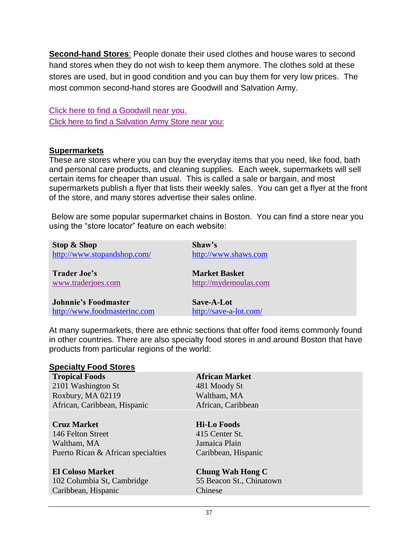**Second-hand Stores**: People donate their used clothes and house wares to second hand stores when they do not wish to keep them anymore. The clothes sold at these stores are used, but in good condition and you can buy them for very low prices. The most common second-hand stores are Goodwill and Salvation Army.

[Click here to find a Goodwill near you.](http://locator.goodwill.org/) [Click here to find a Salvation Army Store near you:](http://www.salvationarmyusa.org/usn/www_usn_2.nsf/vw-dynamic-index/E3610FB5DDD550A1802573250030E32A?Opendocument)

#### **Supermarkets**

These are stores where you can buy the everyday items that you need, like food, bath and personal care products, and cleaning supplies. Each week, supermarkets will sell certain items for cheaper than usual. This is called a sale or bargain, and most supermarkets publish a flyer that lists their weekly sales. You can get a flyer at the front of the store, and many stores advertise their sales online.

Below are some popular supermarket chains in Boston. You can find a store near you using the "store locator" feature on each website:

| Stop & Shop                  | Shaw's                 |
|------------------------------|------------------------|
| http://www.stopandshop.com/  | http://www.shaws.com   |
| <b>Trader Joe's</b>          | <b>Market Basket</b>   |
| www.traderjoes.com           | http://mydemoulas.com  |
| <b>Johnnie's Foodmaster</b>  | Save-A-Lot             |
| http://www.foodmasterinc.com | http://save-a-lot.com/ |

At many supermarkets, there are ethnic sections that offer food items commonly found in other countries. There are also specialty food stores in and around Boston that have products from particular regions of the world:

| <b>Specialty Food Stores</b>       |                          |  |
|------------------------------------|--------------------------|--|
| <b>Tropical Foods</b>              | <b>African Market</b>    |  |
| 2101 Washington St                 | 481 Moody St             |  |
| Roxbury, MA 02119                  | Waltham, MA              |  |
| African, Caribbean, Hispanic       | African, Caribbean       |  |
| <b>Cruz Market</b>                 | <b>Hi-Lo Foods</b>       |  |
| 146 Felton Street                  | 415 Center St.           |  |
| Waltham, MA                        | Jamaica Plain            |  |
| Puerto Rican & African specialties | Caribbean, Hispanic      |  |
| <b>El Coloso Market</b>            | <b>Chung Wah Hong C</b>  |  |
| 102 Columbia St, Cambridge         | 55 Beacon St., Chinatown |  |
| Caribbean, Hispanic                | Chinese                  |  |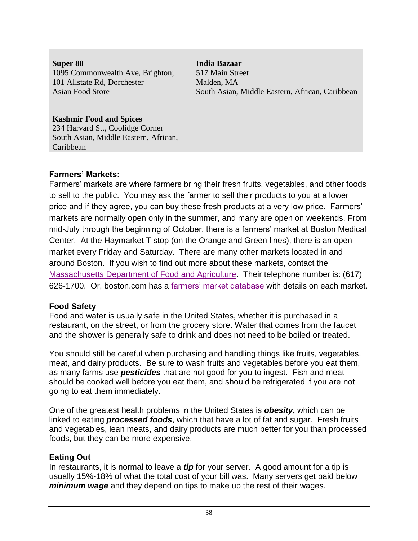**Super 88 India Bazaar** 1095 Commonwealth Ave, Brighton; 517 Main Street 101 Allstate Rd, Dorchester Malden, MA

Asian Food Store South Asian, Middle Eastern, African, Caribbean

## **Kashmir Food and Spices**

234 Harvard St., Coolidge Corner South Asian, Middle Eastern, African, Caribbean

## **Farmers' Markets:**

Farmers' markets are where farmers bring their fresh fruits, vegetables, and other foods to sell to the public. You may ask the farmer to sell their products to you at a lower price and if they agree, you can buy these fresh products at a very low price. Farmers' markets are normally open only in the summer, and many are open on weekends. From mid-July through the beginning of October, there is a farmers' market at Boston Medical Center. At the Haymarket T stop (on the Orange and Green lines), there is an open market every Friday and Saturday. There are many other markets located in and around Boston. If you wish to find out more about these markets, contact the [Massachusetts Department of Food and Agriculture.](http://www.mass.gov/agr/) Their telephone number is: (617) 626-1700. Or, boston.com has a [farmers' market database](http://www.boston.com/lifestyle/food/specials/farmers_market_database/) with details on each market.

## **Food Safety**

Food and water is usually safe in the United States, whether it is purchased in a restaurant, on the street, or from the grocery store. Water that comes from the faucet and the shower is generally safe to drink and does not need to be boiled or treated.

You should still be careful when purchasing and handling things like fruits, vegetables, meat, and dairy products. Be sure to wash fruits and vegetables before you eat them, as many farms use *pesticides* that are not good for you to ingest. Fish and meat should be cooked well before you eat them, and should be refrigerated if you are not going to eat them immediately.

One of the greatest health problems in the United States is *obesity***,** which can be linked to eating *processed foods*, which that have a lot of fat and sugar. Fresh fruits and vegetables, lean meats, and dairy products are much better for you than processed foods, but they can be more expensive.

## **Eating Out**

In restaurants, it is normal to leave a *tip* for your server. A good amount for a tip is usually 15%-18% of what the total cost of your bill was. Many servers get paid below *minimum wage* and they depend on tips to make up the rest of their wages.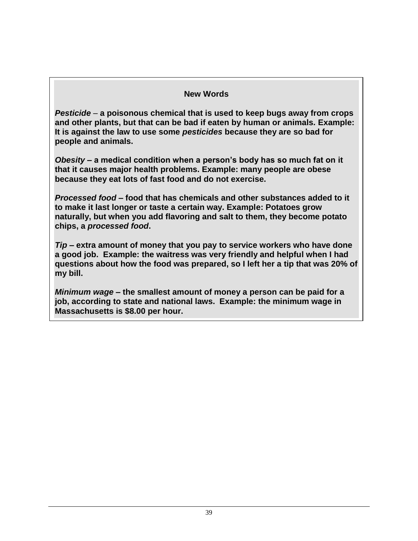#### **New Words**

*Pesticide* – **a poisonous chemical that is used to keep bugs away from crops and other plants, but that can be bad if eaten by human or animals***.* **Example: It is against the law to use some** *pesticides* **because they are so bad for people and animals.**

*Obesity* **– a medical condition when a person's body has so much fat on it that it causes major health problems. Example: many people are obese because they eat lots of fast food and do not exercise.**

*Processed food* **– food that has chemicals and other substances added to it to make it last longer or taste a certain way. Example: Potatoes grow naturally, but when you add flavoring and salt to them, they become potato chips, a** *processed food***.**

*Tip –* **extra amount of money that you pay to service workers who have done a good job. Example: the waitress was very friendly and helpful when I had questions about how the food was prepared, so I left her a tip that was 20% of my bill.**

*Minimum wage* **– the smallest amount of money a person can be paid for a job, according to state and national laws. Example: the minimum wage in Massachusetts is \$8.00 per hour.**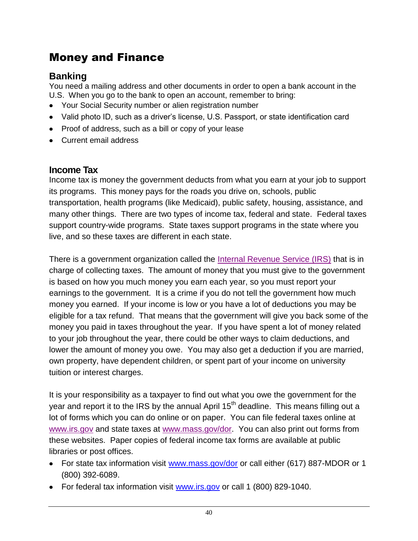# Money and Finance

# **Banking**

You need a mailing address and other documents in order to open a bank account in the U.S. When you go to the bank to open an account, remember to bring:

- Your Social Security number or alien registration number
- Valid photo ID, such as a driver's license, U.S. Passport, or state identification card
- Proof of address, such as a bill or copy of your lease
- Current email address

## **Income Tax**

Income tax is money the government deducts from what you earn at your job to support its programs. This money pays for the roads you drive on, schools, public transportation, health programs (like Medicaid), public safety, housing, assistance, and many other things. There are two types of income tax, federal and state. Federal taxes support country-wide programs. State taxes support programs in the state where you live, and so these taxes are different in each state.

There is a government organization called the [Internal Revenue Service \(IRS\)](http://www.irs.gov/) that is in charge of collecting taxes. The amount of money that you must give to the government is based on how you much money you earn each year, so you must report your earnings to the government. It is a crime if you do not tell the government how much money you earned. If your income is low or you have a lot of deductions you may be eligible for a tax refund. That means that the government will give you back some of the money you paid in taxes throughout the year. If you have spent a lot of money related to your job throughout the year, there could be other ways to claim deductions, and lower the amount of money you owe. You may also get a deduction if you are married, own property, have dependent children, or spent part of your income on university tuition or interest charges.

It is your responsibility as a taxpayer to find out what you owe the government for the year and report it to the IRS by the annual April 15<sup>th</sup> deadline. This means filling out a lot of forms which you can do online or on paper. You can file federal taxes online at [www.irs.gov](http://www.irs.gov/) and state taxes at [www.mass.gov/dor.](http://www.mass.gov/dor) You can also print out forms from these websites. Paper copies of federal income tax forms are available at public libraries or post offices.

- For state tax information visit [www.mass.gov/dor](http://www.mass.gov/dor) or call either (617) 887-MDOR or 1 (800) 392-6089.
- For federal tax information visit [www.irs.gov](http://www.irs.gov/) or call 1 (800) 829-1040.